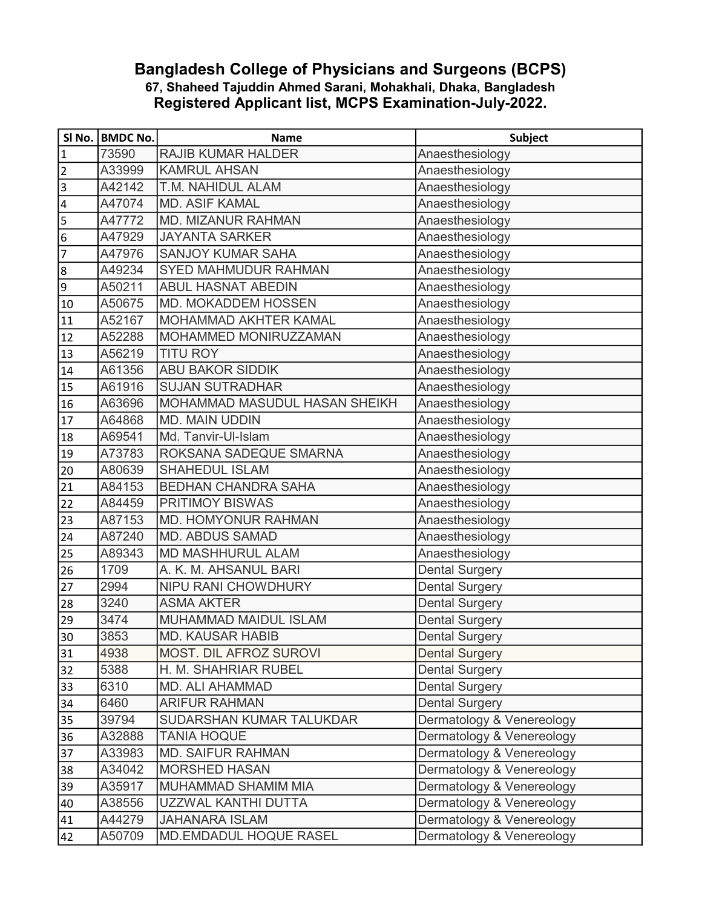## 67, Shaheed Tajuddin Ahmed Sarani, Mohakhali, Dhaka, Bangladesh Registered Applicant list, MCPS Examination-July-2022. Bangladesh College of Physicians and Surgeons (BCPS)

|                         | SI No.   BMDC No. | <b>Name</b>                   | <b>Subject</b>            |
|-------------------------|-------------------|-------------------------------|---------------------------|
| $\mathbf 1$             | 73590             | <b>RAJIB KUMAR HALDER</b>     | Anaesthesiology           |
| $\overline{2}$          | A33999            | <b>KAMRUL AHSAN</b>           | Anaesthesiology           |
| $\vert$ 3               | A42142            | T.M. NAHIDUL ALAM             | Anaesthesiology           |
| $\overline{\mathbf{4}}$ | A47074            | <b>MD. ASIF KAMAL</b>         | Anaesthesiology           |
| 5                       | A47772            | MD. MIZANUR RAHMAN            | Anaesthesiology           |
| $\boldsymbol{6}$        | A47929            | <b>JAYANTA SARKER</b>         | Anaesthesiology           |
| 7                       | A47976            | <b>SANJOY KUMAR SAHA</b>      | Anaesthesiology           |
| $\overline{8}$          | A49234            | <b>SYED MAHMUDUR RAHMAN</b>   | Anaesthesiology           |
| $\overline{9}$          | A50211            | <b>ABUL HASNAT ABEDIN</b>     | Anaesthesiology           |
| 10                      | A50675            | MD. MOKADDEM HOSSEN           | Anaesthesiology           |
| 11                      | A52167            | MOHAMMAD AKHTER KAMAL         | Anaesthesiology           |
| 12                      | A52288            | MOHAMMED MONIRUZZAMAN         | Anaesthesiology           |
| 13                      | A56219            | <b>TITU ROY</b>               | Anaesthesiology           |
| 14                      | A61356            | <b>ABU BAKOR SIDDIK</b>       | Anaesthesiology           |
| 15                      | A61916            | <b>SUJAN SUTRADHAR</b>        | Anaesthesiology           |
| 16                      | A63696            | MOHAMMAD MASUDUL HASAN SHEIKH | Anaesthesiology           |
| 17                      | A64868            | <b>MD. MAIN UDDIN</b>         | Anaesthesiology           |
| 18                      | A69541            | Md. Tanvir-Ul-Islam           | Anaesthesiology           |
| 19                      | A73783            | ROKSANA SADEQUE SMARNA        | Anaesthesiology           |
| 20                      | A80639            | <b>SHAHEDUL ISLAM</b>         | Anaesthesiology           |
| 21                      | A84153            | <b>BEDHAN CHANDRA SAHA</b>    | Anaesthesiology           |
| 22                      | A84459            | <b>PRITIMOY BISWAS</b>        | Anaesthesiology           |
| 23                      | A87153            | <b>MD. HOMYONUR RAHMAN</b>    | Anaesthesiology           |
| 24                      | A87240            | <b>MD. ABDUS SAMAD</b>        | Anaesthesiology           |
| 25                      | A89343            | <b>MD MASHHURUL ALAM</b>      | Anaesthesiology           |
| 26                      | 1709              | A. K. M. AHSANUL BARI         | <b>Dental Surgery</b>     |
| 27                      | 2994              | <b>NIPU RANI CHOWDHURY</b>    | <b>Dental Surgery</b>     |
| 28                      | 3240              | <b>ASMA AKTER</b>             | <b>Dental Surgery</b>     |
| 29                      | 3474              | MUHAMMAD MAIDUL ISLAM         | <b>Dental Surgery</b>     |
| 30                      | 3853              | <b>MD. KAUSAR HABIB</b>       | <b>Dental Surgery</b>     |
| 31                      | 4938              | MOST. DIL AFROZ SUROVI        | <b>Dental Surgery</b>     |
| 32                      | 5388              | H. M. SHAHRIAR RUBEL          | <b>Dental Surgery</b>     |
| 33                      | 6310              | <b>MD. ALI AHAMMAD</b>        | <b>Dental Surgery</b>     |
| 34                      | 6460              | <b>ARIFUR RAHMAN</b>          | <b>Dental Surgery</b>     |
| 35                      | 39794             | SUDARSHAN KUMAR TALUKDAR      | Dermatology & Venereology |
| 36                      | A32888            | <b>TANIA HOQUE</b>            | Dermatology & Venereology |
| 37                      | A33983            | <b>MD. SAIFUR RAHMAN</b>      | Dermatology & Venereology |
| 38                      | A34042            | <b>MORSHED HASAN</b>          | Dermatology & Venereology |
| 39                      | A35917            | MUHAMMAD SHAMIM MIA           | Dermatology & Venereology |
| 40                      | A38556            | UZZWAL KANTHI DUTTA           | Dermatology & Venereology |
| 41                      | A44279            | <b>JAHANARA ISLAM</b>         | Dermatology & Venereology |
| 42                      | A50709            | MD.EMDADUL HOQUE RASEL        | Dermatology & Venereology |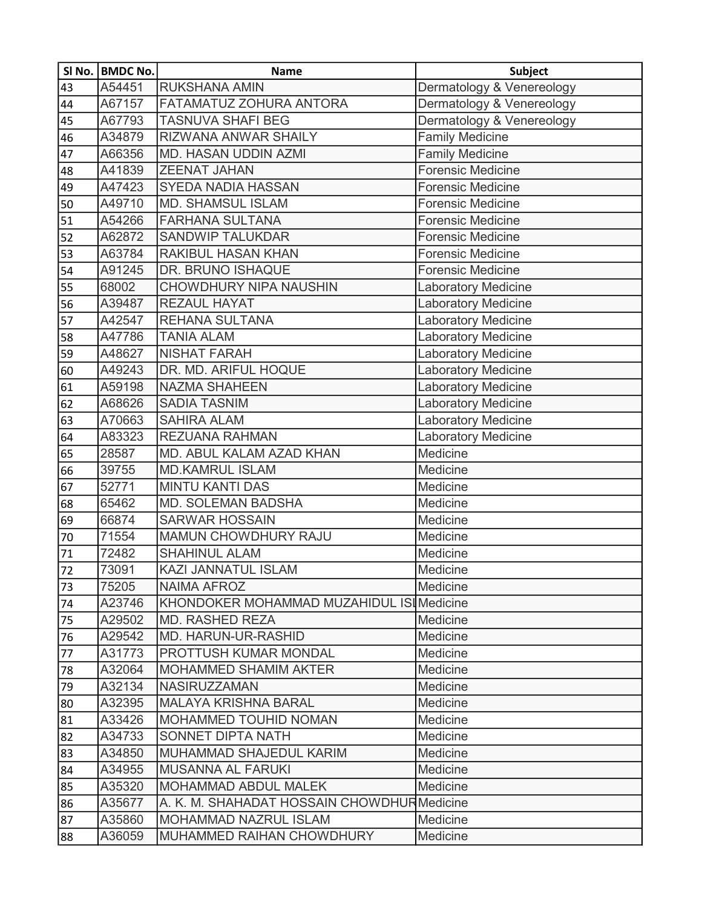|                 | SI No.   BMDC No. | <b>Name</b>                                | Subject                    |
|-----------------|-------------------|--------------------------------------------|----------------------------|
| 43              | A54451            | <b>RUKSHANA AMIN</b>                       | Dermatology & Venereology  |
| 44              | A67157            | FATAMATUZ ZOHURA ANTORA                    | Dermatology & Venereology  |
| 45              | A67793            | <b>TASNUVA SHAFI BEG</b>                   | Dermatology & Venereology  |
| 46              | A34879            | RIZWANA ANWAR SHAILY                       | <b>Family Medicine</b>     |
| 47              | A66356            | <b>MD. HASAN UDDIN AZMI</b>                | <b>Family Medicine</b>     |
| 48              | A41839            | <b>ZEENAT JAHAN</b>                        | <b>Forensic Medicine</b>   |
| 49              | A47423            | SYEDA NADIA HASSAN                         | <b>Forensic Medicine</b>   |
| 50              | A49710            | <b>MD. SHAMSUL ISLAM</b>                   | <b>Forensic Medicine</b>   |
| 51              | A54266            | <b>FARHANA SULTANA</b>                     | <b>Forensic Medicine</b>   |
| 52              | A62872            | <b>SANDWIP TALUKDAR</b>                    | <b>Forensic Medicine</b>   |
| 53              | A63784            | RAKIBUL HASAN KHAN                         | <b>Forensic Medicine</b>   |
| 54              | A91245            | DR. BRUNO ISHAQUE                          | <b>Forensic Medicine</b>   |
| 55              | 68002             | CHOWDHURY NIPA NAUSHIN                     | <b>Laboratory Medicine</b> |
| 56              | A39487            | <b>REZAUL HAYAT</b>                        | <b>Laboratory Medicine</b> |
| 57              | A42547            | <b>REHANA SULTANA</b>                      | <b>Laboratory Medicine</b> |
| 58              | A47786            | <b>TANIA ALAM</b>                          | <b>Laboratory Medicine</b> |
| 59              | A48627            | <b>NISHAT FARAH</b>                        | <b>Laboratory Medicine</b> |
| 60              | A49243            | DR. MD. ARIFUL HOQUE                       | <b>Laboratory Medicine</b> |
| 61              | A59198            | <b>NAZMA SHAHEEN</b>                       | <b>Laboratory Medicine</b> |
| 62              | A68626            | <b>SADIA TASNIM</b>                        | <b>Laboratory Medicine</b> |
| $\overline{63}$ | A70663            | <b>SAHIRA ALAM</b>                         | <b>Laboratory Medicine</b> |
| 64              | A83323            | <b>REZUANA RAHMAN</b>                      | Laboratory Medicine        |
| 65              | 28587             | MD. ABUL KALAM AZAD KHAN                   | Medicine                   |
| 66              | 39755             | <b>MD.KAMRUL ISLAM</b>                     | Medicine                   |
| 67              | 52771             | <b>MINTU KANTI DAS</b>                     | Medicine                   |
| 68              | 65462             | MD. SOLEMAN BADSHA                         | Medicine                   |
| 69              | 66874             | <b>SARWAR HOSSAIN</b>                      | Medicine                   |
| 70              | 71554             | MAMUN CHOWDHURY RAJU                       | Medicine                   |
| 71              | 72482             | <b>SHAHINUL ALAM</b>                       | Medicine                   |
| $\overline{72}$ | 73091             | KAZI JANNATUL ISLAM                        | Medicine                   |
| 73              | 75205             | <b>NAIMA AFROZ</b>                         | Medicine                   |
| 74              | A23746            | KHONDOKER MOHAMMAD MUZAHIDUL ISI Medicine  |                            |
| 75              | A29502            | <b>MD. RASHED REZA</b>                     | Medicine                   |
| 76              | A29542            | MD. HARUN-UR-RASHID                        | Medicine                   |
| 77              | A31773            | PROTTUSH KUMAR MONDAL                      | Medicine                   |
| 78              | A32064            | <b>MOHAMMED SHAMIM AKTER</b>               | Medicine                   |
| 79              | A32134            | <b>NASIRUZZAMAN</b>                        | Medicine                   |
| 80              | A32395            | <b>MALAYA KRISHNA BARAL</b>                | Medicine                   |
| 81              | A33426            | MOHAMMED TOUHID NOMAN                      | Medicine                   |
| 82              | A34733            | SONNET DIPTA NATH                          | Medicine                   |
| 83              | A34850            | MUHAMMAD SHAJEDUL KARIM                    | Medicine                   |
| 84              | A34955            | <b>MUSANNA AL FARUKI</b>                   | Medicine                   |
| 85              | A35320            | <b>MOHAMMAD ABDUL MALEK</b>                | Medicine                   |
| 86              | A35677            | A. K. M. SHAHADAT HOSSAIN CHOWDHURMedicine |                            |
| 87              | A35860            | <b>MOHAMMAD NAZRUL ISLAM</b>               | Medicine                   |
| 88              | A36059            | MUHAMMED RAIHAN CHOWDHURY                  | Medicine                   |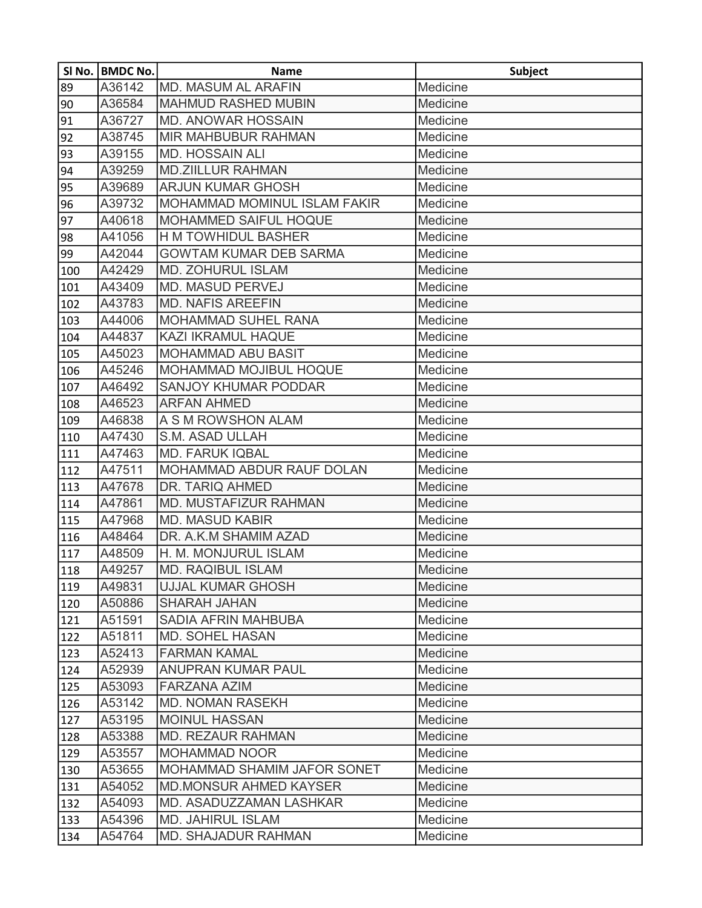|     | SI No.   BMDC No. | <b>Name</b>                      | <b>Subject</b> |
|-----|-------------------|----------------------------------|----------------|
| 89  | A36142            | <b>MD. MASUM AL ARAFIN</b>       | Medicine       |
| 90  | A36584            | <b>MAHMUD RASHED MUBIN</b>       | Medicine       |
| 91  | A36727            | <b>MD. ANOWAR HOSSAIN</b>        | Medicine       |
| 92  | A38745            | <b>MIR MAHBUBUR RAHMAN</b>       | Medicine       |
| 93  | A39155            | <b>MD. HOSSAIN ALI</b>           | Medicine       |
| 94  | A39259            | <b>MD.ZIILLUR RAHMAN</b>         | Medicine       |
| 95  | A39689            | <b>ARJUN KUMAR GHOSH</b>         | Medicine       |
| 96  | A39732            | MOHAMMAD MOMINUL ISLAM FAKIR     | Medicine       |
| 97  | A40618            | <b>MOHAMMED SAIFUL HOQUE</b>     | Medicine       |
| 98  | A41056            | <b>H M TOWHIDUL BASHER</b>       | Medicine       |
| 99  | A42044            | <b>GOWTAM KUMAR DEB SARMA</b>    | Medicine       |
| 100 | A42429            | <b>MD. ZOHURUL ISLAM</b>         | Medicine       |
| 101 | A43409            | <b>MD. MASUD PERVEJ</b>          | Medicine       |
| 102 | A43783            | <b>MD. NAFIS AREEFIN</b>         | Medicine       |
| 103 | A44006            | <b>MOHAMMAD SUHEL RANA</b>       | Medicine       |
| 104 | A44837            | KAZI IKRAMUL HAQUE               | Medicine       |
| 105 | A45023            | <b>MOHAMMAD ABU BASIT</b>        | Medicine       |
| 106 | A45246            | <b>MOHAMMAD MOJIBUL HOQUE</b>    | Medicine       |
| 107 | A46492            | <b>SANJOY KHUMAR PODDAR</b>      | Medicine       |
| 108 | A46523            | <b>ARFAN AHMED</b>               | Medicine       |
| 109 | A46838            | A S M ROWSHON ALAM               | Medicine       |
| 110 | A47430            | S.M. ASAD ULLAH                  | Medicine       |
| 111 | A47463            | <b>MD. FARUK IQBAL</b>           | Medicine       |
| 112 | A47511            | <b>MOHAMMAD ABDUR RAUF DOLAN</b> | Medicine       |
| 113 | A47678            | DR. TARIQ AHMED                  | Medicine       |
| 114 | A47861            | MD. MUSTAFIZUR RAHMAN            | Medicine       |
| 115 | A47968            | <b>MD. MASUD KABIR</b>           | Medicine       |
| 116 | A48464            | DR. A.K.M SHAMIM AZAD            | Medicine       |
| 117 | A48509            | H. M. MONJURUL ISLAM             | Medicine       |
| 118 | A49257            | <b>MD. RAQIBUL ISLAM</b>         | Medicine       |
| 119 | A49831            | <b>UJJAL KUMAR GHOSH</b>         | Medicine       |
| 120 | A50886            | <b>SHARAH JAHAN</b>              | Medicine       |
| 121 | A51591            | <b>SADIA AFRIN MAHBUBA</b>       | Medicine       |
| 122 | A51811            | <b>MD. SOHEL HASAN</b>           | Medicine       |
| 123 | A52413            | <b>FARMAN KAMAL</b>              | Medicine       |
| 124 | A52939            | <b>ANUPRAN KUMAR PAUL</b>        | Medicine       |
| 125 | A53093            | <b>FARZANA AZIM</b>              | Medicine       |
| 126 | A53142            | <b>MD. NOMAN RASEKH</b>          | Medicine       |
| 127 | A53195            | <b>MOINUL HASSAN</b>             | Medicine       |
| 128 | A53388            | <b>MD. REZAUR RAHMAN</b>         | Medicine       |
| 129 | A53557            | <b>MOHAMMAD NOOR</b>             | Medicine       |
| 130 | A53655            | MOHAMMAD SHAMIM JAFOR SONET      | Medicine       |
| 131 | A54052            | <b>MD.MONSUR AHMED KAYSER</b>    | Medicine       |
| 132 | A54093            | MD. ASADUZZAMAN LASHKAR          | Medicine       |
| 133 | A54396            | <b>MD. JAHIRUL ISLAM</b>         | Medicine       |
| 134 | A54764            | <b>MD. SHAJADUR RAHMAN</b>       | Medicine       |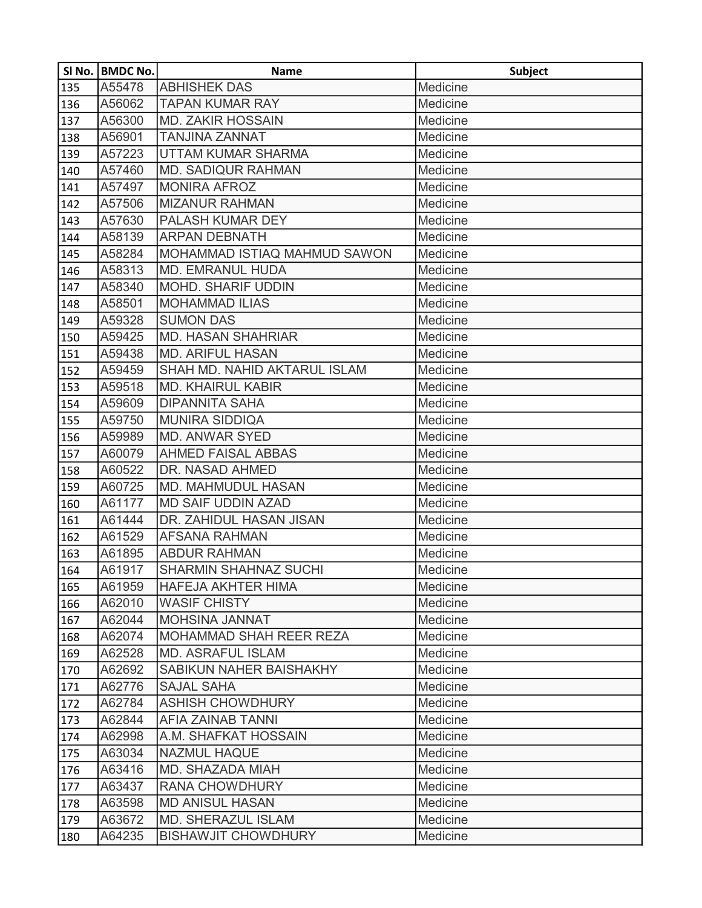|     | SI No.   BMDC No. | <b>Name</b>                  | <b>Subject</b> |
|-----|-------------------|------------------------------|----------------|
| 135 | A55478            | <b>ABHISHEK DAS</b>          | Medicine       |
| 136 | A56062            | <b>TAPAN KUMAR RAY</b>       | Medicine       |
| 137 | A56300            | <b>MD. ZAKIR HOSSAIN</b>     | Medicine       |
| 138 | A56901            | <b>TANJINA ZANNAT</b>        | Medicine       |
| 139 | A57223            | UTTAM KUMAR SHARMA           | Medicine       |
| 140 | A57460            | <b>MD. SADIQUR RAHMAN</b>    | Medicine       |
| 141 | A57497            | <b>MONIRA AFROZ</b>          | Medicine       |
| 142 | A57506            | <b>MIZANUR RAHMAN</b>        | Medicine       |
| 143 | A57630            | <b>PALASH KUMAR DEY</b>      | Medicine       |
| 144 | A58139            | <b>ARPAN DEBNATH</b>         | Medicine       |
| 145 | A58284            | MOHAMMAD ISTIAQ MAHMUD SAWON | Medicine       |
| 146 | A58313            | <b>MD. EMRANUL HUDA</b>      | Medicine       |
| 147 | A58340            | <b>MOHD. SHARIF UDDIN</b>    | Medicine       |
| 148 | A58501            | <b>MOHAMMAD ILIAS</b>        | Medicine       |
| 149 | A59328            | <b>SUMON DAS</b>             | Medicine       |
| 150 | A59425            | <b>MD. HASAN SHAHRIAR</b>    | Medicine       |
| 151 | A59438            | <b>MD. ARIFUL HASAN</b>      | Medicine       |
| 152 | A59459            | SHAH MD. NAHID AKTARUL ISLAM | Medicine       |
| 153 | A59518            | <b>MD. KHAIRUL KABIR</b>     | Medicine       |
| 154 | A59609            | <b>DIPANNITA SAHA</b>        | Medicine       |
| 155 | A59750            | <b>MUNIRA SIDDIQA</b>        | Medicine       |
| 156 | A59989            | <b>MD. ANWAR SYED</b>        | Medicine       |
| 157 | A60079            | <b>AHMED FAISAL ABBAS</b>    | Medicine       |
| 158 | A60522            | DR. NASAD AHMED              | Medicine       |
| 159 | A60725            | <b>MD. MAHMUDUL HASAN</b>    | Medicine       |
| 160 | A61177            | <b>MD SAIF UDDIN AZAD</b>    | Medicine       |
| 161 | A61444            | DR. ZAHIDUL HASAN JISAN      | Medicine       |
| 162 | A61529            | <b>AFSANA RAHMAN</b>         | Medicine       |
| 163 | A61895            | <b>ABDUR RAHMAN</b>          | Medicine       |
| 164 | A61917            | <b>SHARMIN SHAHNAZ SUCHI</b> | Medicine       |
| 165 | A61959            | <b>HAFEJA AKHTER HIMA</b>    | Medicine       |
| 166 | A62010            | <b>WASIF CHISTY</b>          | Medicine       |
| 167 | A62044            | <b>MOHSINA JANNAT</b>        | Medicine       |
| 168 | A62074            | MOHAMMAD SHAH REER REZA      | Medicine       |
| 169 | A62528            | <b>MD. ASRAFUL ISLAM</b>     | Medicine       |
| 170 | A62692            | SABIKUN NAHER BAISHAKHY      | Medicine       |
| 171 | A62776            | <b>SAJAL SAHA</b>            | Medicine       |
| 172 | A62784            | <b>ASHISH CHOWDHURY</b>      | Medicine       |
| 173 | A62844            | <b>AFIA ZAINAB TANNI</b>     | Medicine       |
| 174 | A62998            | A.M. SHAFKAT HOSSAIN         | Medicine       |
| 175 | A63034            | <b>NAZMUL HAQUE</b>          | Medicine       |
| 176 | A63416            | MD. SHAZADA MIAH             | Medicine       |
| 177 | A63437            | <b>RANA CHOWDHURY</b>        | Medicine       |
| 178 | A63598            | <b>MD ANISUL HASAN</b>       | Medicine       |
| 179 | A63672            | <b>MD. SHERAZUL ISLAM</b>    | Medicine       |
| 180 | A64235            | <b>BISHAWJIT CHOWDHURY</b>   | Medicine       |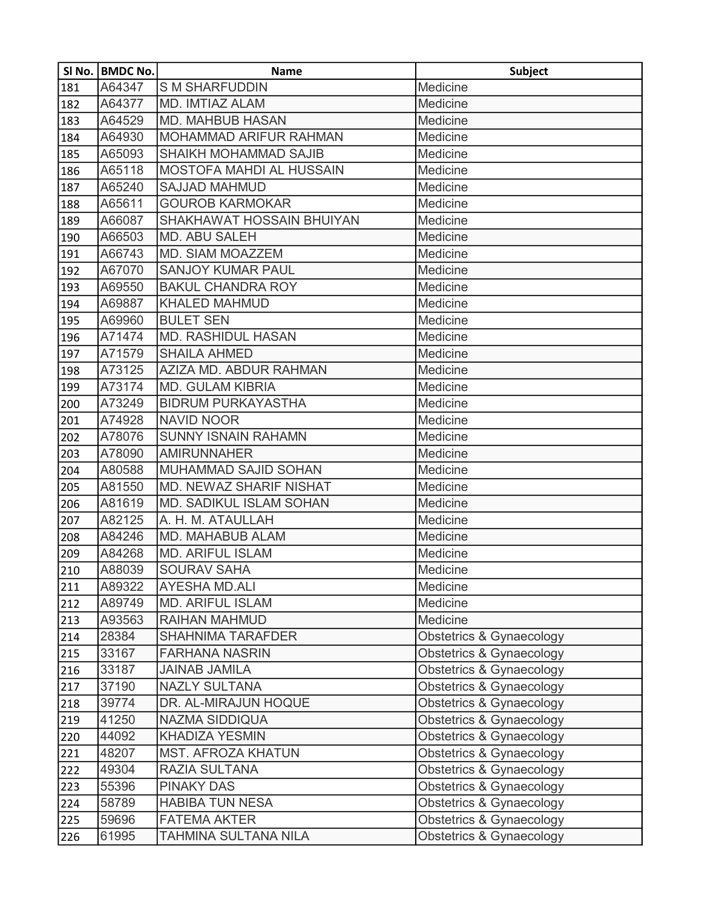|     | SI No.   BMDC No. | <b>Name</b>                    | <b>Subject</b>           |
|-----|-------------------|--------------------------------|--------------------------|
| 181 | A64347            | <b>SM SHARFUDDIN</b>           | Medicine                 |
| 182 | A64377            | MD. IMTIAZ ALAM                | Medicine                 |
| 183 | A64529            | <b>MD. MAHBUB HASAN</b>        | Medicine                 |
| 184 | A64930            | <b>MOHAMMAD ARIFUR RAHMAN</b>  | Medicine                 |
| 185 | A65093            | SHAIKH MOHAMMAD SAJIB          | Medicine                 |
| 186 | A65118            | MOSTOFA MAHDI AL HUSSAIN       | Medicine                 |
| 187 | A65240            | <b>SAJJAD MAHMUD</b>           | Medicine                 |
| 188 | A65611            | <b>GOUROB KARMOKAR</b>         | Medicine                 |
| 189 | A66087            | SHAKHAWAT HOSSAIN BHUIYAN      | Medicine                 |
| 190 | A66503            | <b>MD. ABU SALEH</b>           | Medicine                 |
| 191 | A66743            | <b>MD. SIAM MOAZZEM</b>        | Medicine                 |
| 192 | A67070            | <b>SANJOY KUMAR PAUL</b>       | Medicine                 |
| 193 | A69550            | <b>BAKUL CHANDRA ROY</b>       | Medicine                 |
| 194 | A69887            | <b>KHALED MAHMUD</b>           | Medicine                 |
| 195 | A69960            | <b>BULET SEN</b>               | Medicine                 |
| 196 | A71474            | <b>MD. RASHIDUL HASAN</b>      | Medicine                 |
| 197 | A71579            | <b>SHAILA AHMED</b>            | Medicine                 |
| 198 | A73125            | AZIZA MD. ABDUR RAHMAN         | Medicine                 |
| 199 | A73174            | <b>MD. GULAM KIBRIA</b>        | Medicine                 |
| 200 | A73249            | <b>BIDRUM PURKAYASTHA</b>      | Medicine                 |
| 201 | A74928            | <b>NAVID NOOR</b>              | Medicine                 |
| 202 | A78076            | <b>SUNNY ISNAIN RAHAMN</b>     | Medicine                 |
| 203 | A78090            | <b>AMIRUNNAHER</b>             | Medicine                 |
| 204 | A80588            | MUHAMMAD SAJID SOHAN           | Medicine                 |
| 205 | A81550            | MD. NEWAZ SHARIF NISHAT        | Medicine                 |
| 206 | A81619            | <b>MD. SADIKUL ISLAM SOHAN</b> | Medicine                 |
| 207 | A82125            | A. H. M. ATAULLAH              | Medicine                 |
| 208 | A84246            | MD. MAHABUB ALAM               | Medicine                 |
| 209 | A84268            | <b>MD. ARIFUL ISLAM</b>        | Medicine                 |
| 210 | A88039            | <b>SOURAV SAHA</b>             | Medicine                 |
| 211 | A89322            | <b>AYESHA MD.ALI</b>           | Medicine                 |
| 212 | A89749            | <b>MD. ARIFUL ISLAM</b>        | Medicine                 |
| 213 | A93563            | RAIHAN MAHMUD                  | Medicine                 |
| 214 | 28384             | <b>SHAHNIMA TARAFDER</b>       | Obstetrics & Gynaecology |
| 215 | 33167             | <b>FARHANA NASRIN</b>          | Obstetrics & Gynaecology |
| 216 | 33187             | <b>JAINAB JAMILA</b>           | Obstetrics & Gynaecology |
| 217 | 37190             | <b>NAZLY SULTANA</b>           | Obstetrics & Gynaecology |
| 218 | 39774             | DR. AL-MIRAJUN HOQUE           | Obstetrics & Gynaecology |
| 219 | 41250             | <b>NAZMA SIDDIQUA</b>          | Obstetrics & Gynaecology |
| 220 | 44092             | <b>KHADIZA YESMIN</b>          | Obstetrics & Gynaecology |
| 221 | 48207             | <b>MST. AFROZA KHATUN</b>      | Obstetrics & Gynaecology |
| 222 | 49304             | RAZIA SULTANA                  | Obstetrics & Gynaecology |
| 223 | 55396             | <b>PINAKY DAS</b>              | Obstetrics & Gynaecology |
| 224 | 58789             | <b>HABIBA TUN NESA</b>         | Obstetrics & Gynaecology |
| 225 | 59696             | <b>FATEMA AKTER</b>            | Obstetrics & Gynaecology |
| 226 | 61995             | TAHMINA SULTANA NILA           | Obstetrics & Gynaecology |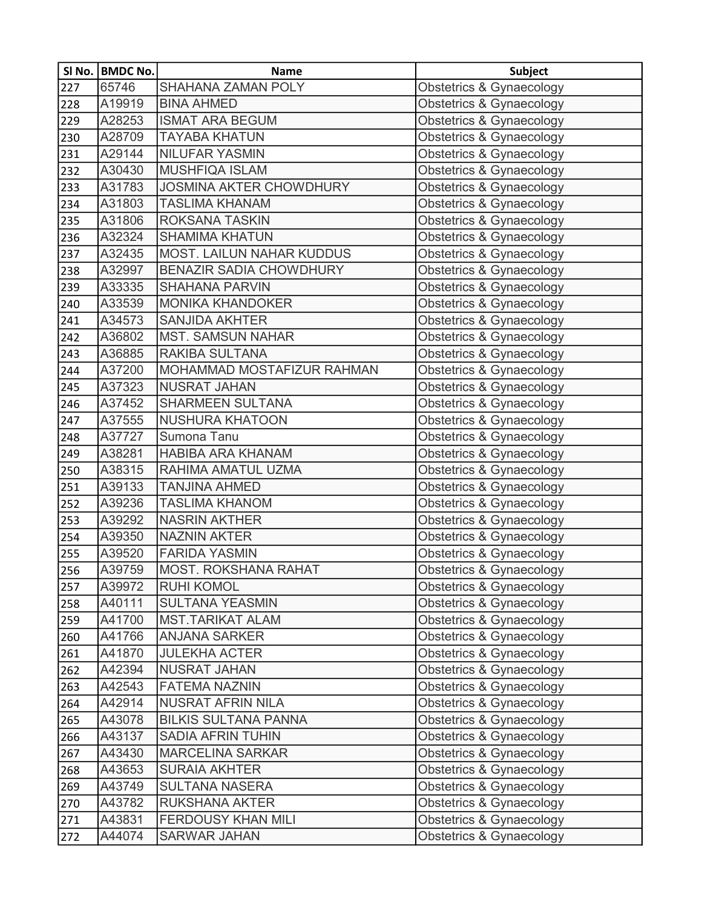|     | SI No.   BMDC No. | <b>Name</b>                      | <b>Subject</b>                      |
|-----|-------------------|----------------------------------|-------------------------------------|
| 227 | 65746             | <b>SHAHANA ZAMAN POLY</b>        | Obstetrics & Gynaecology            |
| 228 | A19919            | <b>BINA AHMED</b>                | Obstetrics & Gynaecology            |
| 229 | A28253            | <b>ISMAT ARA BEGUM</b>           | Obstetrics & Gynaecology            |
| 230 | A28709            | <b>TAYABA KHATUN</b>             | Obstetrics & Gynaecology            |
| 231 | A29144            | <b>NILUFAR YASMIN</b>            | <b>Obstetrics &amp; Gynaecology</b> |
| 232 | A30430            | MUSHFIQA ISLAM                   | Obstetrics & Gynaecology            |
| 233 | A31783            | <b>JOSMINA AKTER CHOWDHURY</b>   | Obstetrics & Gynaecology            |
| 234 | A31803            | <b>TASLIMA KHANAM</b>            | Obstetrics & Gynaecology            |
| 235 | A31806            | <b>ROKSANA TASKIN</b>            | Obstetrics & Gynaecology            |
| 236 | A32324            | <b>SHAMIMA KHATUN</b>            | Obstetrics & Gynaecology            |
| 237 | A32435            | <b>MOST. LAILUN NAHAR KUDDUS</b> | Obstetrics & Gynaecology            |
| 238 | A32997            | <b>BENAZIR SADIA CHOWDHURY</b>   | Obstetrics & Gynaecology            |
| 239 | A33335            | <b>SHAHANA PARVIN</b>            | Obstetrics & Gynaecology            |
| 240 | A33539            | <b>MONIKA KHANDOKER</b>          | Obstetrics & Gynaecology            |
| 241 | A34573            | <b>SANJIDA AKHTER</b>            | Obstetrics & Gynaecology            |
| 242 | A36802            | <b>MST. SAMSUN NAHAR</b>         | Obstetrics & Gynaecology            |
| 243 | A36885            | <b>RAKIBA SULTANA</b>            | Obstetrics & Gynaecology            |
| 244 | A37200            | MOHAMMAD MOSTAFIZUR RAHMAN       | Obstetrics & Gynaecology            |
| 245 | A37323            | <b>NUSRAT JAHAN</b>              | Obstetrics & Gynaecology            |
| 246 | A37452            | <b>SHARMEEN SULTANA</b>          | Obstetrics & Gynaecology            |
| 247 | A37555            | <b>NUSHURA KHATOON</b>           | Obstetrics & Gynaecology            |
| 248 | A37727            | Sumona Tanu                      | Obstetrics & Gynaecology            |
| 249 | A38281            | HABIBA ARA KHANAM                | <b>Obstetrics &amp; Gynaecology</b> |
| 250 | A38315            | RAHIMA AMATUL UZMA               | <b>Obstetrics &amp; Gynaecology</b> |
| 251 | A39133            | <b>TANJINA AHMED</b>             | Obstetrics & Gynaecology            |
| 252 | A39236            | <b>TASLIMA KHANOM</b>            | Obstetrics & Gynaecology            |
| 253 | A39292            | <b>NASRIN AKTHER</b>             | Obstetrics & Gynaecology            |
| 254 | A39350            | <b>NAZNIN AKTER</b>              | Obstetrics & Gynaecology            |
| 255 | A39520            | <b>FARIDA YASMIN</b>             | Obstetrics & Gynaecology            |
| 256 | A39759            | <b>MOST. ROKSHANA RAHAT</b>      | Obstetrics & Gynaecology            |
| 257 | A39972            | <b>RUHI KOMOL</b>                | Obstetrics & Gynaecology            |
| 258 | A40111            | <b>SULTANA YEASMIN</b>           | Obstetrics & Gynaecology            |
| 259 | A41700            | <b>MST.TARIKAT ALAM</b>          | Obstetrics & Gynaecology            |
| 260 | A41766            | <b>ANJANA SARKER</b>             | Obstetrics & Gynaecology            |
| 261 | A41870            | <b>JULEKHA ACTER</b>             | Obstetrics & Gynaecology            |
| 262 | A42394            | NUSRAT JAHAN                     | Obstetrics & Gynaecology            |
| 263 | A42543            | <b>FATEMA NAZNIN</b>             | Obstetrics & Gynaecology            |
| 264 | A42914            | <b>NUSRAT AFRIN NILA</b>         | Obstetrics & Gynaecology            |
| 265 | A43078            | <b>BILKIS SULTANA PANNA</b>      | Obstetrics & Gynaecology            |
| 266 | A43137            | <b>SADIA AFRIN TUHIN</b>         | Obstetrics & Gynaecology            |
| 267 | A43430            | <b>MARCELINA SARKAR</b>          | Obstetrics & Gynaecology            |
| 268 | A43653            | <b>SURAIA AKHTER</b>             | Obstetrics & Gynaecology            |
| 269 | A43749            | <b>SULTANA NASERA</b>            | Obstetrics & Gynaecology            |
| 270 | A43782            | RUKSHANA AKTER                   | Obstetrics & Gynaecology            |
| 271 | A43831            | <b>FERDOUSY KHAN MILI</b>        | Obstetrics & Gynaecology            |
| 272 | A44074            | <b>SARWAR JAHAN</b>              | Obstetrics & Gynaecology            |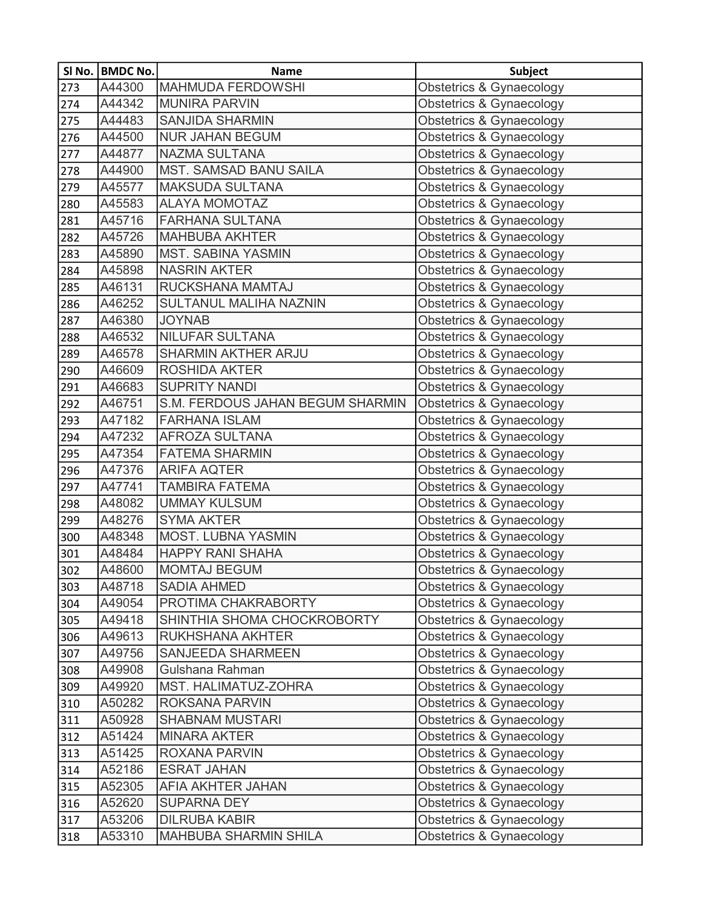|     | SI No.   BMDC No. | <b>Name</b>                      | <b>Subject</b>                      |
|-----|-------------------|----------------------------------|-------------------------------------|
| 273 | A44300            | <b>MAHMUDA FERDOWSHI</b>         | <b>Obstetrics &amp; Gynaecology</b> |
| 274 | A44342            | <b>MUNIRA PARVIN</b>             | <b>Obstetrics &amp; Gynaecology</b> |
| 275 | A44483            | <b>SANJIDA SHARMIN</b>           | <b>Obstetrics &amp; Gynaecology</b> |
| 276 | A44500            | <b>NUR JAHAN BEGUM</b>           | <b>Obstetrics &amp; Gynaecology</b> |
| 277 | A44877            | NAZMA SULTANA                    | <b>Obstetrics &amp; Gynaecology</b> |
| 278 | A44900            | <b>MST. SAMSAD BANU SAILA</b>    | <b>Obstetrics &amp; Gynaecology</b> |
| 279 | A45577            | <b>MAKSUDA SULTANA</b>           | Obstetrics & Gynaecology            |
| 280 | A45583            | <b>ALAYA MOMOTAZ</b>             | <b>Obstetrics &amp; Gynaecology</b> |
| 281 | A45716            | <b>FARHANA SULTANA</b>           | <b>Obstetrics &amp; Gynaecology</b> |
| 282 | A45726            | <b>MAHBUBA AKHTER</b>            | <b>Obstetrics &amp; Gynaecology</b> |
| 283 | A45890            | <b>MST. SABINA YASMIN</b>        | <b>Obstetrics &amp; Gynaecology</b> |
| 284 | A45898            | <b>NASRIN AKTER</b>              | <b>Obstetrics &amp; Gynaecology</b> |
| 285 | A46131            | RUCKSHANA MAMTAJ                 | Obstetrics & Gynaecology            |
| 286 | A46252            | SULTANUL MALIHA NAZNIN           | <b>Obstetrics &amp; Gynaecology</b> |
| 287 | A46380            | <b>JOYNAB</b>                    | <b>Obstetrics &amp; Gynaecology</b> |
| 288 | A46532            | <b>NILUFAR SULTANA</b>           | Obstetrics & Gynaecology            |
| 289 | A46578            | SHARMIN AKTHER ARJU              | Obstetrics & Gynaecology            |
| 290 | A46609            | <b>ROSHIDA AKTER</b>             | <b>Obstetrics &amp; Gynaecology</b> |
| 291 | A46683            | <b>SUPRITY NANDI</b>             | Obstetrics & Gynaecology            |
| 292 | A46751            | S.M. FERDOUS JAHAN BEGUM SHARMIN | <b>Obstetrics &amp; Gynaecology</b> |
| 293 | A47182            | <b>FARHANA ISLAM</b>             | <b>Obstetrics &amp; Gynaecology</b> |
| 294 | A47232            | <b>AFROZA SULTANA</b>            | <b>Obstetrics &amp; Gynaecology</b> |
| 295 | A47354            | <b>FATEMA SHARMIN</b>            | Obstetrics & Gynaecology            |
| 296 | A47376            | <b>ARIFA AQTER</b>               | Obstetrics & Gynaecology            |
| 297 | A47741            | <b>TAMBIRA FATEMA</b>            | <b>Obstetrics &amp; Gynaecology</b> |
| 298 | A48082            | <b>UMMAY KULSUM</b>              | Obstetrics & Gynaecology            |
| 299 | A48276            | <b>SYMA AKTER</b>                | <b>Obstetrics &amp; Gynaecology</b> |
| 300 | A48348            | <b>MOST. LUBNA YASMIN</b>        | <b>Obstetrics &amp; Gynaecology</b> |
| 301 | A48484            | <b>HAPPY RANI SHAHA</b>          | <b>Obstetrics &amp; Gynaecology</b> |
| 302 | A48600            | <b>MOMTAJ BEGUM</b>              | Obstetrics & Gynaecology            |
| 303 | A48718            | <b>SADIA AHMED</b>               | Obstetrics & Gynaecology            |
| 304 | A49054            | PROTIMA CHAKRABORTY              | <b>Obstetrics &amp; Gynaecology</b> |
| 305 | A49418            | SHINTHIA SHOMA CHOCKROBORTY      | <b>Obstetrics &amp; Gynaecology</b> |
| 306 | A49613            | RUKHSHANA AKHTER                 | Obstetrics & Gynaecology            |
| 307 | A49756            | <b>SANJEEDA SHARMEEN</b>         | <b>Obstetrics &amp; Gynaecology</b> |
| 308 | A49908            | Gulshana Rahman                  | Obstetrics & Gynaecology            |
| 309 | A49920            | MST. HALIMATUZ-ZOHRA             | <b>Obstetrics &amp; Gynaecology</b> |
| 310 | A50282            | ROKSANA PARVIN                   | Obstetrics & Gynaecology            |
| 311 | A50928            | <b>SHABNAM MUSTARI</b>           | Obstetrics & Gynaecology            |
| 312 | A51424            | <b>MINARA AKTER</b>              | <b>Obstetrics &amp; Gynaecology</b> |
| 313 | A51425            | ROXANA PARVIN                    | Obstetrics & Gynaecology            |
| 314 | A52186            | <b>ESRAT JAHAN</b>               | <b>Obstetrics &amp; Gynaecology</b> |
| 315 | A52305            | AFIA AKHTER JAHAN                | <b>Obstetrics &amp; Gynaecology</b> |
| 316 | A52620            | <b>SUPARNA DEY</b>               | Obstetrics & Gynaecology            |
| 317 | A53206            | <b>DILRUBA KABIR</b>             | Obstetrics & Gynaecology            |
| 318 | A53310            | <b>MAHBUBA SHARMIN SHILA</b>     | <b>Obstetrics &amp; Gynaecology</b> |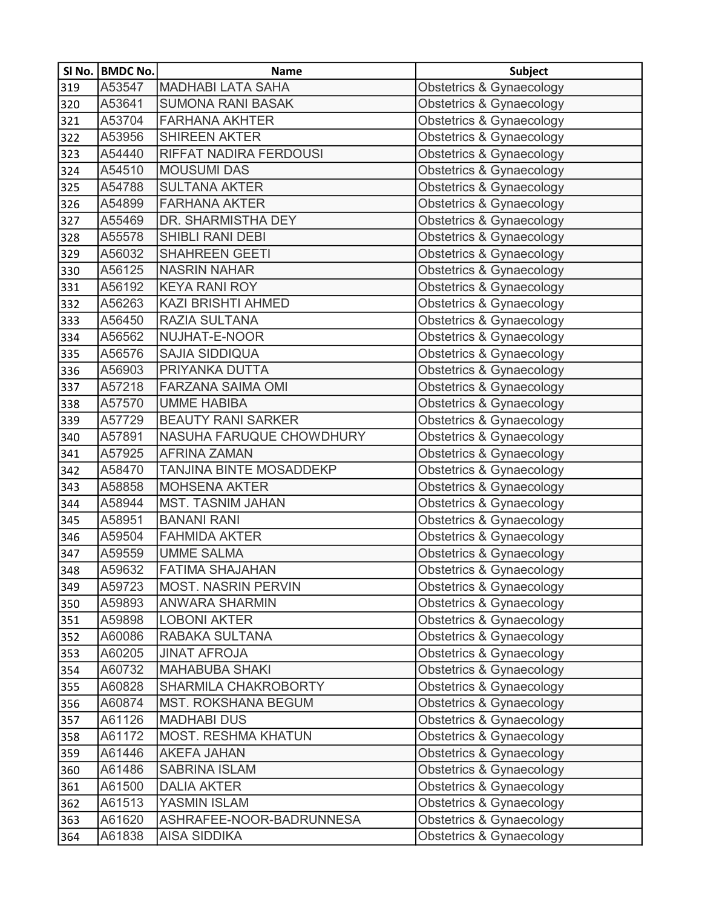|     | SI No. BMDC No. | <b>Name</b>                | <b>Subject</b>                      |
|-----|-----------------|----------------------------|-------------------------------------|
| 319 | A53547          | <b>MADHABI LATA SAHA</b>   | Obstetrics & Gynaecology            |
| 320 | A53641          | <b>SUMONA RANI BASAK</b>   | Obstetrics & Gynaecology            |
| 321 | A53704          | <b>FARHANA AKHTER</b>      | <b>Obstetrics &amp; Gynaecology</b> |
| 322 | A53956          | <b>SHIREEN AKTER</b>       | Obstetrics & Gynaecology            |
| 323 | A54440          | RIFFAT NADIRA FERDOUSI     | Obstetrics & Gynaecology            |
| 324 | A54510          | <b>MOUSUMI DAS</b>         | Obstetrics & Gynaecology            |
| 325 | A54788          | <b>SULTANA AKTER</b>       | Obstetrics & Gynaecology            |
| 326 | A54899          | <b>FARHANA AKTER</b>       | Obstetrics & Gynaecology            |
| 327 | A55469          | DR. SHARMISTHA DEY         | Obstetrics & Gynaecology            |
| 328 | A55578          | SHIBLI RANI DEBI           | Obstetrics & Gynaecology            |
| 329 | A56032          | <b>SHAHREEN GEETI</b>      | Obstetrics & Gynaecology            |
| 330 | A56125          | <b>NASRIN NAHAR</b>        | Obstetrics & Gynaecology            |
| 331 | A56192          | <b>KEYA RANI ROY</b>       | Obstetrics & Gynaecology            |
| 332 | A56263          | <b>KAZI BRISHTI AHMED</b>  | Obstetrics & Gynaecology            |
| 333 | A56450          | RAZIA SULTANA              | Obstetrics & Gynaecology            |
| 334 | A56562          | NUJHAT-E-NOOR              | Obstetrics & Gynaecology            |
| 335 | A56576          | <b>SAJIA SIDDIQUA</b>      | Obstetrics & Gynaecology            |
| 336 | A56903          | PRIYANKA DUTTA             | Obstetrics & Gynaecology            |
| 337 | A57218          | <b>FARZANA SAIMA OMI</b>   | Obstetrics & Gynaecology            |
| 338 | A57570          | <b>UMME HABIBA</b>         | Obstetrics & Gynaecology            |
| 339 | A57729          | <b>BEAUTY RANI SARKER</b>  | Obstetrics & Gynaecology            |
| 340 | A57891          | NASUHA FARUQUE CHOWDHURY   | Obstetrics & Gynaecology            |
| 341 | A57925          | <b>AFRINA ZAMAN</b>        | Obstetrics & Gynaecology            |
| 342 | A58470          | TANJINA BINTE MOSADDEKP    | Obstetrics & Gynaecology            |
| 343 | A58858          | <b>MOHSENA AKTER</b>       | Obstetrics & Gynaecology            |
| 344 | A58944          | MST. TASNIM JAHAN          | Obstetrics & Gynaecology            |
| 345 | A58951          | <b>BANANI RANI</b>         | Obstetrics & Gynaecology            |
| 346 | A59504          | <b>FAHMIDA AKTER</b>       | Obstetrics & Gynaecology            |
| 347 | A59559          | <b>UMME SALMA</b>          | Obstetrics & Gynaecology            |
| 348 | A59632          | <b>FATIMA SHAJAHAN</b>     | Obstetrics & Gynaecology            |
| 349 | A59723          | <b>MOST. NASRIN PERVIN</b> | Obstetrics & Gynaecology            |
| 350 | A59893          | <b>ANWARA SHARMIN</b>      | Obstetrics & Gynaecology            |
| 351 | A59898          | <b>LOBONI AKTER</b>        | Obstetrics & Gynaecology            |
| 352 | A60086          | RABAKA SULTANA             | Obstetrics & Gynaecology            |
| 353 | A60205          | <b>JINAT AFROJA</b>        | Obstetrics & Gynaecology            |
| 354 | A60732          | <b>MAHABUBA SHAKI</b>      | Obstetrics & Gynaecology            |
| 355 | A60828          | SHARMILA CHAKROBORTY       | Obstetrics & Gynaecology            |
| 356 | A60874          | <b>MST. ROKSHANA BEGUM</b> | Obstetrics & Gynaecology            |
| 357 | A61126          | <b>MADHABI DUS</b>         | Obstetrics & Gynaecology            |
| 358 | A61172          | <b>MOST. RESHMA KHATUN</b> | Obstetrics & Gynaecology            |
| 359 | A61446          | <b>AKEFA JAHAN</b>         | Obstetrics & Gynaecology            |
| 360 | A61486          | <b>SABRINA ISLAM</b>       | Obstetrics & Gynaecology            |
| 361 | A61500          | <b>DALIA AKTER</b>         | Obstetrics & Gynaecology            |
| 362 | A61513          | YASMIN ISLAM               | Obstetrics & Gynaecology            |
| 363 | A61620          | ASHRAFEE-NOOR-BADRUNNESA   | Obstetrics & Gynaecology            |
| 364 | A61838          | <b>AISA SIDDIKA</b>        | Obstetrics & Gynaecology            |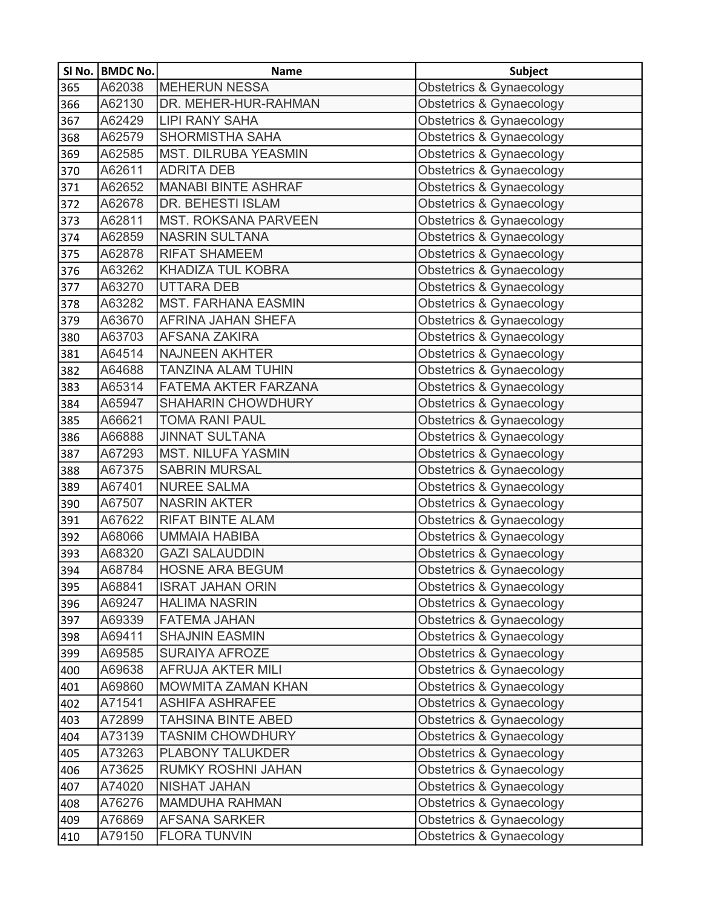|     | SI No.   BMDC No. | <b>Name</b>                 | <b>Subject</b>                      |
|-----|-------------------|-----------------------------|-------------------------------------|
| 365 | A62038            | <b>MEHERUN NESSA</b>        | <b>Obstetrics &amp; Gynaecology</b> |
| 366 | A62130            | DR. MEHER-HUR-RAHMAN        | <b>Obstetrics &amp; Gynaecology</b> |
| 367 | A62429            | <b>LIPI RANY SAHA</b>       | <b>Obstetrics &amp; Gynaecology</b> |
| 368 | A62579            | <b>SHORMISTHA SAHA</b>      | Obstetrics & Gynaecology            |
| 369 | A62585            | MST. DILRUBA YEASMIN        | <b>Obstetrics &amp; Gynaecology</b> |
| 370 | A62611            | <b>ADRITA DEB</b>           | Obstetrics & Gynaecology            |
| 371 | A62652            | <b>MANABI BINTE ASHRAF</b>  | Obstetrics & Gynaecology            |
| 372 | A62678            | DR. BEHESTI ISLAM           | <b>Obstetrics &amp; Gynaecology</b> |
| 373 | A62811            | <b>MST. ROKSANA PARVEEN</b> | Obstetrics & Gynaecology            |
| 374 | A62859            | <b>NASRIN SULTANA</b>       | <b>Obstetrics &amp; Gynaecology</b> |
| 375 | A62878            | <b>RIFAT SHAMEEM</b>        | <b>Obstetrics &amp; Gynaecology</b> |
| 376 | A63262            | KHADIZA TUL KOBRA           | Obstetrics & Gynaecology            |
| 377 | A63270            | <b>UTTARA DEB</b>           | Obstetrics & Gynaecology            |
| 378 | A63282            | <b>MST. FARHANA EASMIN</b>  | <b>Obstetrics &amp; Gynaecology</b> |
| 379 | A63670            | AFRINA JAHAN SHEFA          | <b>Obstetrics &amp; Gynaecology</b> |
| 380 | A63703            | <b>AFSANA ZAKIRA</b>        | <b>Obstetrics &amp; Gynaecology</b> |
| 381 | A64514            | <b>NAJNEEN AKHTER</b>       | Obstetrics & Gynaecology            |
| 382 | A64688            | <b>TANZINA ALAM TUHIN</b>   | <b>Obstetrics &amp; Gynaecology</b> |
| 383 | A65314            | FATEMA AKTER FARZANA        | Obstetrics & Gynaecology            |
| 384 | A65947            | <b>SHAHARIN CHOWDHURY</b>   | <b>Obstetrics &amp; Gynaecology</b> |
| 385 | A66621            | <b>TOMA RANI PAUL</b>       | Obstetrics & Gynaecology            |
| 386 | A66888            | <b>JINNAT SULTANA</b>       | <b>Obstetrics &amp; Gynaecology</b> |
| 387 | A67293            | <b>MST. NILUFA YASMIN</b>   | Obstetrics & Gynaecology            |
| 388 | A67375            | <b>SABRIN MURSAL</b>        | Obstetrics & Gynaecology            |
| 389 | A67401            | <b>NUREE SALMA</b>          | <b>Obstetrics &amp; Gynaecology</b> |
| 390 | A67507            | <b>NASRIN AKTER</b>         | Obstetrics & Gynaecology            |
| 391 | A67622            | <b>RIFAT BINTE ALAM</b>     | Obstetrics & Gynaecology            |
| 392 | A68066            | <b>UMMAIA HABIBA</b>        | <b>Obstetrics &amp; Gynaecology</b> |
| 393 | A68320            | <b>GAZI SALAUDDIN</b>       | <b>Obstetrics &amp; Gynaecology</b> |
| 394 | A68784            | <b>HOSNE ARA BEGUM</b>      | Obstetrics & Gynaecology            |
| 395 | A68841            | <b>ISRAT JAHAN ORIN</b>     | Obstetrics & Gynaecology            |
| 396 | A69247            | <b>HALIMA NASRIN</b>        | Obstetrics & Gynaecology            |
| 397 | A69339            | <b>FATEMA JAHAN</b>         | <b>Obstetrics &amp; Gynaecology</b> |
| 398 | A69411            | <b>SHAJNIN EASMIN</b>       | <b>Obstetrics &amp; Gynaecology</b> |
| 399 | A69585            | <b>SURAIYA AFROZE</b>       | <b>Obstetrics &amp; Gynaecology</b> |
| 400 | A69638            | AFRUJA AKTER MILI           | <b>Obstetrics &amp; Gynaecology</b> |
| 401 | A69860            | MOWMITA ZAMAN KHAN          | <b>Obstetrics &amp; Gynaecology</b> |
| 402 | A71541            | <b>ASHIFA ASHRAFEE</b>      | <b>Obstetrics &amp; Gynaecology</b> |
| 403 | A72899            | <b>TAHSINA BINTE ABED</b>   | Obstetrics & Gynaecology            |
| 404 | A73139            | <b>TASNIM CHOWDHURY</b>     | <b>Obstetrics &amp; Gynaecology</b> |
| 405 | A73263            | PLABONY TALUKDER            | <b>Obstetrics &amp; Gynaecology</b> |
| 406 | A73625            | RUMKY ROSHNI JAHAN          | Obstetrics & Gynaecology            |
| 407 | A74020            | NISHAT JAHAN                | Obstetrics & Gynaecology            |
| 408 | A76276            | <b>MAMDUHA RAHMAN</b>       | Obstetrics & Gynaecology            |
| 409 | A76869            | <b>AFSANA SARKER</b>        | Obstetrics & Gynaecology            |
| 410 | A79150            | <b>FLORA TUNVIN</b>         | Obstetrics & Gynaecology            |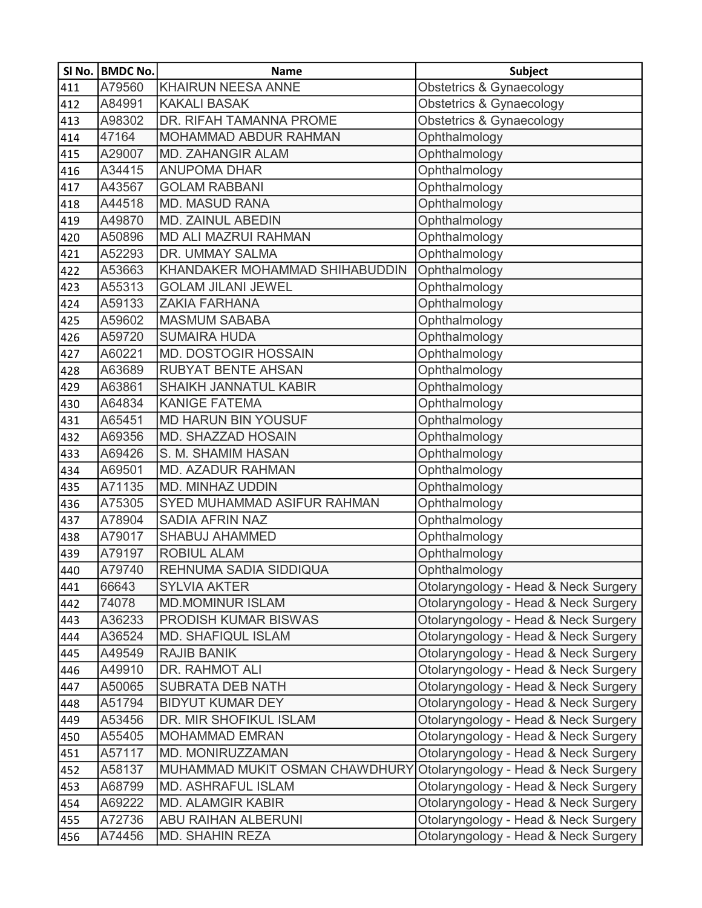|     | SI No.   BMDC No. | <b>Name</b>                    | Subject                              |
|-----|-------------------|--------------------------------|--------------------------------------|
| 411 | A79560            | <b>KHAIRUN NEESA ANNE</b>      | <b>Obstetrics &amp; Gynaecology</b>  |
| 412 | A84991            | <b>KAKALI BASAK</b>            | Obstetrics & Gynaecology             |
| 413 | A98302            | DR. RIFAH TAMANNA PROME        | Obstetrics & Gynaecology             |
| 414 | 47164             | MOHAMMAD ABDUR RAHMAN          | Ophthalmology                        |
| 415 | A29007            | <b>MD. ZAHANGIR ALAM</b>       | Ophthalmology                        |
| 416 | A34415            | <b>ANUPOMA DHAR</b>            | Ophthalmology                        |
| 417 | A43567            | <b>GOLAM RABBANI</b>           | Ophthalmology                        |
| 418 | A44518            | <b>MD. MASUD RANA</b>          | Ophthalmology                        |
| 419 | A49870            | <b>MD. ZAINUL ABEDIN</b>       | Ophthalmology                        |
| 420 | A50896            | <b>MD ALI MAZRUI RAHMAN</b>    | Ophthalmology                        |
| 421 | A52293            | DR. UMMAY SALMA                | Ophthalmology                        |
| 422 | A53663            | KHANDAKER MOHAMMAD SHIHABUDDIN | Ophthalmology                        |
| 423 | A55313            | <b>GOLAM JILANI JEWEL</b>      | Ophthalmology                        |
| 424 | A59133            | <b>ZAKIA FARHANA</b>           | Ophthalmology                        |
| 425 | A59602            | <b>MASMUM SABABA</b>           | Ophthalmology                        |
| 426 | A59720            | <b>SUMAIRA HUDA</b>            | Ophthalmology                        |
| 427 | A60221            | <b>MD. DOSTOGIR HOSSAIN</b>    | Ophthalmology                        |
| 428 | A63689            | <b>RUBYAT BENTE AHSAN</b>      | Ophthalmology                        |
| 429 | A63861            | SHAIKH JANNATUL KABIR          | Ophthalmology                        |
| 430 | A64834            | <b>KANIGE FATEMA</b>           | Ophthalmology                        |
| 431 | A65451            | <b>MD HARUN BIN YOUSUF</b>     | Ophthalmology                        |
| 432 | A69356            | MD. SHAZZAD HOSAIN             | Ophthalmology                        |
| 433 | A69426            | S. M. SHAMIM HASAN             | Ophthalmology                        |
| 434 | A69501            | <b>MD. AZADUR RAHMAN</b>       | Ophthalmology                        |
| 435 | A71135            | MD. MINHAZ UDDIN               | Ophthalmology                        |
| 436 | A75305            | SYED MUHAMMAD ASIFUR RAHMAN    | Ophthalmology                        |
| 437 | A78904            | <b>SADIA AFRIN NAZ</b>         | Ophthalmology                        |
| 438 | A79017            | SHABUJ AHAMMED                 | Ophthalmology                        |
| 439 | A79197            | <b>ROBIUL ALAM</b>             | Ophthalmology                        |
| 440 | A79740            | REHNUMA SADIA SIDDIQUA         | Ophthalmology                        |
| 441 | 66643             | <b>SYLVIA AKTER</b>            | Otolaryngology - Head & Neck Surgery |
| 442 | 74078             | <b>MD.MOMINUR ISLAM</b>        | Otolaryngology - Head & Neck Surgery |
| 443 | A36233            | PRODISH KUMAR BISWAS           | Otolaryngology - Head & Neck Surgery |
| 444 | A36524            | <b>MD. SHAFIQUL ISLAM</b>      | Otolaryngology - Head & Neck Surgery |
| 445 | A49549            | <b>RAJIB BANIK</b>             | Otolaryngology - Head & Neck Surgery |
| 446 | A49910            | DR. RAHMOT ALI                 | Otolaryngology - Head & Neck Surgery |
| 447 | A50065            | <b>SUBRATA DEB NATH</b>        | Otolaryngology - Head & Neck Surgery |
| 448 | A51794            | <b>BIDYUT KUMAR DEY</b>        | Otolaryngology - Head & Neck Surgery |
| 449 | A53456            | DR. MIR SHOFIKUL ISLAM         | Otolaryngology - Head & Neck Surgery |
| 450 | A55405            | <b>MOHAMMAD EMRAN</b>          | Otolaryngology - Head & Neck Surgery |
| 451 | A57117            | MD. MONIRUZZAMAN               | Otolaryngology - Head & Neck Surgery |
| 452 | A58137            | MUHAMMAD MUKIT OSMAN CHAWDHURY | Otolaryngology - Head & Neck Surgery |
| 453 | A68799            | <b>MD. ASHRAFUL ISLAM</b>      | Otolaryngology - Head & Neck Surgery |
| 454 | A69222            | <b>MD. ALAMGIR KABIR</b>       | Otolaryngology - Head & Neck Surgery |
| 455 | A72736            | <b>ABU RAIHAN ALBERUNI</b>     | Otolaryngology - Head & Neck Surgery |
| 456 | A74456            | <b>MD. SHAHIN REZA</b>         | Otolaryngology - Head & Neck Surgery |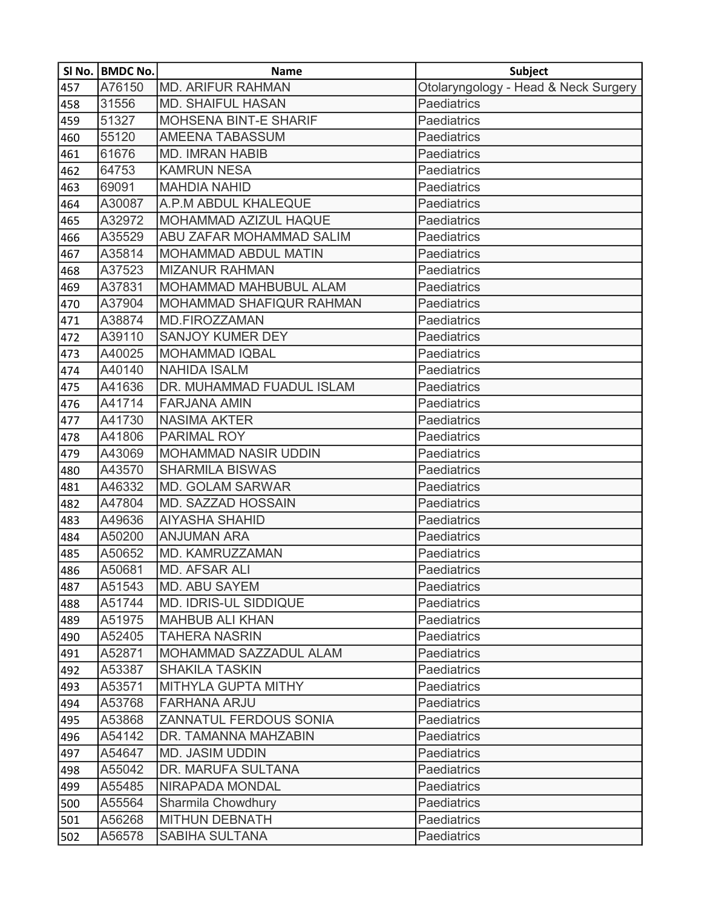|     | SI No.   BMDC No. | <b>Name</b>                   | <b>Subject</b>                       |
|-----|-------------------|-------------------------------|--------------------------------------|
| 457 | A76150            | <b>MD. ARIFUR RAHMAN</b>      | Otolaryngology - Head & Neck Surgery |
| 458 | 31556             | <b>MD. SHAIFUL HASAN</b>      | Paediatrics                          |
| 459 | 51327             | <b>MOHSENA BINT-E SHARIF</b>  | Paediatrics                          |
| 460 | 55120             | <b>AMEENA TABASSUM</b>        | Paediatrics                          |
| 461 | 61676             | <b>MD. IMRAN HABIB</b>        | Paediatrics                          |
| 462 | 64753             | <b>KAMRUN NESA</b>            | Paediatrics                          |
| 463 | 69091             | <b>MAHDIA NAHID</b>           | Paediatrics                          |
| 464 | A30087            | A.P.M ABDUL KHALEQUE          | Paediatrics                          |
| 465 | A32972            | MOHAMMAD AZIZUL HAQUE         | Paediatrics                          |
| 466 | A35529            | ABU ZAFAR MOHAMMAD SALIM      | Paediatrics                          |
| 467 | A35814            | <b>MOHAMMAD ABDUL MATIN</b>   | Paediatrics                          |
| 468 | A37523            | <b>MIZANUR RAHMAN</b>         | Paediatrics                          |
| 469 | A37831            | MOHAMMAD MAHBUBUL ALAM        | Paediatrics                          |
| 470 | A37904            | MOHAMMAD SHAFIQUR RAHMAN      | Paediatrics                          |
| 471 | A38874            | <b>MD.FIROZZAMAN</b>          | Paediatrics                          |
| 472 | A39110            | <b>SANJOY KUMER DEY</b>       | Paediatrics                          |
| 473 | A40025            | <b>MOHAMMAD IQBAL</b>         | Paediatrics                          |
| 474 | A40140            | <b>NAHIDA ISALM</b>           | Paediatrics                          |
| 475 | A41636            | DR. MUHAMMAD FUADUL ISLAM     | Paediatrics                          |
| 476 | A41714            | <b>FARJANA AMIN</b>           | Paediatrics                          |
| 477 | A41730            | <b>NASIMA AKTER</b>           | Paediatrics                          |
| 478 | A41806            | PARIMAL ROY                   | Paediatrics                          |
| 479 | A43069            | <b>MOHAMMAD NASIR UDDIN</b>   | Paediatrics                          |
| 480 | A43570            | <b>SHARMILA BISWAS</b>        | Paediatrics                          |
| 481 | A46332            | <b>MD. GOLAM SARWAR</b>       | Paediatrics                          |
| 482 | A47804            | MD. SAZZAD HOSSAIN            | Paediatrics                          |
| 483 | A49636            | <b>AIYASHA SHAHID</b>         | Paediatrics                          |
| 484 | A50200            | <b>ANJUMAN ARA</b>            | Paediatrics                          |
| 485 | A50652            | MD. KAMRUZZAMAN               | Paediatrics                          |
| 486 | A50681            | <b>MD. AFSAR ALI</b>          | Paediatrics                          |
| 487 | A51543            | MD. ABU SAYEM                 | Paediatrics                          |
| 488 | A51744            | <b>MD. IDRIS-UL SIDDIQUE</b>  | Paediatrics                          |
| 489 | A51975            | <b>MAHBUB ALI KHAN</b>        | Paediatrics                          |
| 490 | A52405            | <b>TAHERA NASRIN</b>          | Paediatrics                          |
| 491 | A52871            | MOHAMMAD SAZZADUL ALAM        | Paediatrics                          |
| 492 | A53387            | <b>SHAKILA TASKIN</b>         | Paediatrics                          |
| 493 | A53571            | MITHYLA GUPTA MITHY           | Paediatrics                          |
| 494 | A53768            | <b>FARHANA ARJU</b>           | <b>Paediatrics</b>                   |
| 495 | A53868            | <b>ZANNATUL FERDOUS SONIA</b> | Paediatrics                          |
| 496 | A54142            | DR. TAMANNA MAHZABIN          | Paediatrics                          |
| 497 | A54647            | <b>MD. JASIM UDDIN</b>        | Paediatrics                          |
| 498 | A55042            | DR. MARUFA SULTANA            | Paediatrics                          |
| 499 | A55485            | <b>NIRAPADA MONDAL</b>        | Paediatrics                          |
| 500 | A55564            | Sharmila Chowdhury            | Paediatrics                          |
| 501 | A56268            | <b>MITHUN DEBNATH</b>         | <b>Paediatrics</b>                   |
| 502 | A56578            | SABIHA SULTANA                | Paediatrics                          |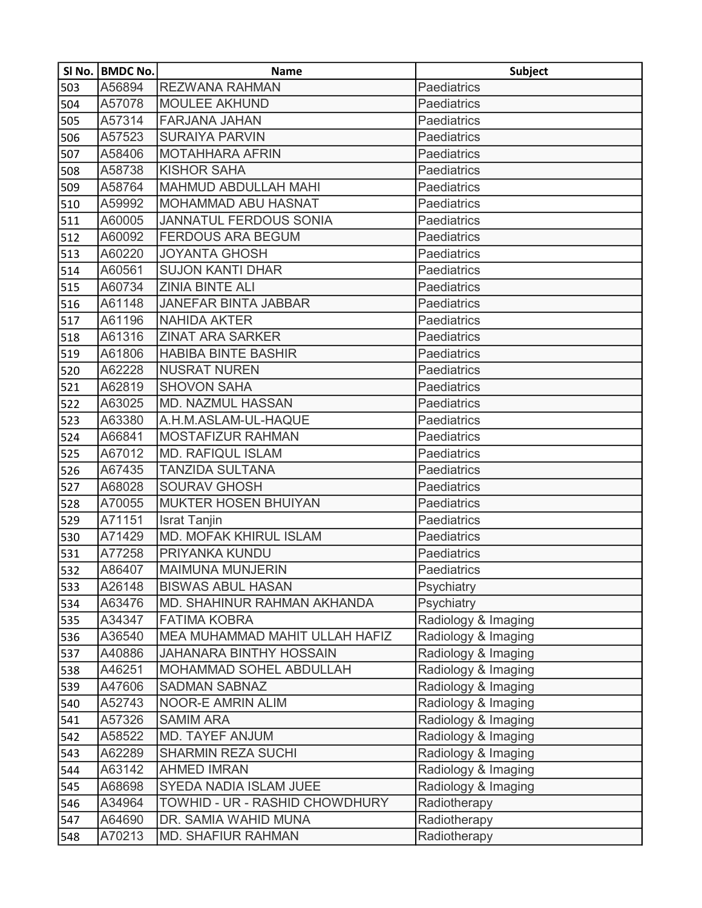|     | SI No.   BMDC No. | <b>Name</b>                    | <b>Subject</b>      |
|-----|-------------------|--------------------------------|---------------------|
| 503 | A56894            | <b>REZWANA RAHMAN</b>          | Paediatrics         |
| 504 | A57078            | <b>MOULEE AKHUND</b>           | <b>Paediatrics</b>  |
| 505 | A57314            | FARJANA JAHAN                  | <b>Paediatrics</b>  |
| 506 | A57523            | <b>SURAIYA PARVIN</b>          | <b>Paediatrics</b>  |
| 507 | A58406            | <b>MOTAHHARA AFRIN</b>         | <b>Paediatrics</b>  |
| 508 | A58738            | <b>KISHOR SAHA</b>             | <b>Paediatrics</b>  |
| 509 | A58764            | MAHMUD ABDULLAH MAHI           | <b>Paediatrics</b>  |
| 510 | A59992            | MOHAMMAD ABU HASNAT            | Paediatrics         |
| 511 | A60005            | <b>JANNATUL FERDOUS SONIA</b>  | <b>Paediatrics</b>  |
| 512 | A60092            | <b>FERDOUS ARA BEGUM</b>       | <b>Paediatrics</b>  |
| 513 | A60220            | <b>JOYANTA GHOSH</b>           | <b>Paediatrics</b>  |
| 514 | A60561            | <b>SUJON KANTI DHAR</b>        | Paediatrics         |
| 515 | A60734            | <b>ZINIA BINTE ALI</b>         | <b>Paediatrics</b>  |
| 516 | A61148            | <b>JANEFAR BINTA JABBAR</b>    | <b>Paediatrics</b>  |
| 517 | A61196            | <b>NAHIDA AKTER</b>            | <b>Paediatrics</b>  |
| 518 | A61316            | <b>ZINAT ARA SARKER</b>        | <b>Paediatrics</b>  |
| 519 | A61806            | <b>HABIBA BINTE BASHIR</b>     | <b>Paediatrics</b>  |
| 520 | A62228            | <b>NUSRAT NUREN</b>            | <b>Paediatrics</b>  |
| 521 | A62819            | <b>SHOVON SAHA</b>             | <b>Paediatrics</b>  |
| 522 | A63025            | <b>MD. NAZMUL HASSAN</b>       | <b>Paediatrics</b>  |
| 523 | A63380            | A.H.M.ASLAM-UL-HAQUE           | Paediatrics         |
| 524 | A66841            | MOSTAFIZUR RAHMAN              | <b>Paediatrics</b>  |
| 525 | A67012            | <b>MD. RAFIQUL ISLAM</b>       | Paediatrics         |
| 526 | A67435            | <b>TANZIDA SULTANA</b>         | <b>Paediatrics</b>  |
| 527 | A68028            | <b>SOURAV GHOSH</b>            | <b>Paediatrics</b>  |
| 528 | A70055            | <b>MUKTER HOSEN BHUIYAN</b>    | <b>Paediatrics</b>  |
| 529 | A71151            | <b>Israt Tanjin</b>            | Paediatrics         |
| 530 | A71429            | MD. MOFAK KHIRUL ISLAM         | <b>Paediatrics</b>  |
| 531 | A77258            | PRIYANKA KUNDU                 | <b>Paediatrics</b>  |
| 532 | A86407            | <b>MAIMUNA MUNJERIN</b>        | <b>Paediatrics</b>  |
| 533 | A26148            | <b>BISWAS ABUL HASAN</b>       | Psychiatry          |
| 534 | A63476            | MD. SHAHINUR RAHMAN AKHANDA    | Psychiatry          |
| 535 | A34347            | <b>FATIMA KOBRA</b>            | Radiology & Imaging |
| 536 | A36540            | MEA MUHAMMAD MAHIT ULLAH HAFIZ | Radiology & Imaging |
| 537 | A40886            | <b>JAHANARA BINTHY HOSSAIN</b> | Radiology & Imaging |
| 538 | A46251            | MOHAMMAD SOHEL ABDULLAH        | Radiology & Imaging |
| 539 | A47606            | <b>SADMAN SABNAZ</b>           | Radiology & Imaging |
| 540 | A52743            | <b>NOOR-E AMRIN ALIM</b>       | Radiology & Imaging |
| 541 | A57326            | <b>SAMIM ARA</b>               | Radiology & Imaging |
| 542 | A58522            | MD. TAYEF ANJUM                | Radiology & Imaging |
| 543 | A62289            | <b>SHARMIN REZA SUCHI</b>      | Radiology & Imaging |
| 544 | A63142            | <b>AHMED IMRAN</b>             | Radiology & Imaging |
| 545 | A68698            | SYEDA NADIA ISLAM JUEE         | Radiology & Imaging |
| 546 | A34964            | TOWHID - UR - RASHID CHOWDHURY | Radiotherapy        |
| 547 | A64690            | DR. SAMIA WAHID MUNA           | Radiotherapy        |
| 548 | A70213            | <b>MD. SHAFIUR RAHMAN</b>      | Radiotherapy        |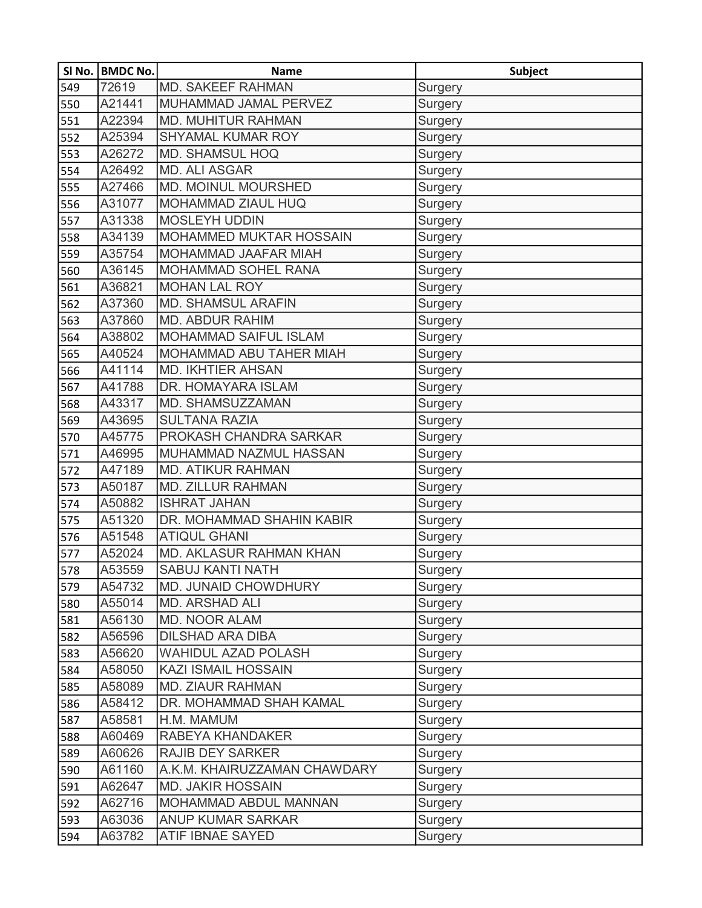|     | SI No. BMDC No. | <b>Name</b>                    | <b>Subject</b> |
|-----|-----------------|--------------------------------|----------------|
| 549 | 72619           | <b>MD. SAKEEF RAHMAN</b>       | Surgery        |
| 550 | A21441          | MUHAMMAD JAMAL PERVEZ          | Surgery        |
| 551 | A22394          | <b>MD. MUHITUR RAHMAN</b>      | Surgery        |
| 552 | A25394          | <b>SHYAMAL KUMAR ROY</b>       | Surgery        |
| 553 | A26272          | <b>MD. SHAMSUL HOQ</b>         | Surgery        |
| 554 | A26492          | <b>MD. ALI ASGAR</b>           | Surgery        |
| 555 | A27466          | <b>MD. MOINUL MOURSHED</b>     | Surgery        |
| 556 | A31077          | <b>MOHAMMAD ZIAUL HUQ</b>      | Surgery        |
| 557 | A31338          | <b>MOSLEYH UDDIN</b>           | Surgery        |
| 558 | A34139          | <b>MOHAMMED MUKTAR HOSSAIN</b> | Surgery        |
| 559 | A35754          | MOHAMMAD JAAFAR MIAH           | Surgery        |
| 560 | A36145          | MOHAMMAD SOHEL RANA            | Surgery        |
| 561 | A36821          | <b>MOHAN LAL ROY</b>           | Surgery        |
| 562 | A37360          | <b>MD. SHAMSUL ARAFIN</b>      | Surgery        |
| 563 | A37860          | <b>MD. ABDUR RAHIM</b>         | Surgery        |
| 564 | A38802          | MOHAMMAD SAIFUL ISLAM          | Surgery        |
| 565 | A40524          | MOHAMMAD ABU TAHER MIAH        | Surgery        |
| 566 | A41114          | <b>MD. IKHTIER AHSAN</b>       | Surgery        |
| 567 | A41788          | DR. HOMAYARA ISLAM             | Surgery        |
| 568 | A43317          | MD. SHAMSUZZAMAN               | Surgery        |
| 569 | A43695          | <b>SULTANA RAZIA</b>           | Surgery        |
| 570 | A45775          | PROKASH CHANDRA SARKAR         | Surgery        |
| 571 | A46995          | MUHAMMAD NAZMUL HASSAN         | Surgery        |
| 572 | A47189          | <b>MD. ATIKUR RAHMAN</b>       | Surgery        |
| 573 | A50187          | <b>MD. ZILLUR RAHMAN</b>       | Surgery        |
| 574 | A50882          | <b>ISHRAT JAHAN</b>            | Surgery        |
| 575 | A51320          | DR. MOHAMMAD SHAHIN KABIR      | Surgery        |
| 576 | A51548          | <b>ATIQUL GHANI</b>            | Surgery        |
| 577 | A52024          | MD. AKLASUR RAHMAN KHAN        | Surgery        |
| 578 | A53559          | <b>SABUJ KANTI NATH</b>        | Surgery        |
| 579 | A54732          | MD. JUNAID CHOWDHURY           | Surgery        |
| 580 | A55014          | <b>MD. ARSHAD ALI</b>          | Surgery        |
| 581 | A56130          | <b>MD. NOOR ALAM</b>           | Surgery        |
| 582 | A56596          | <b>DILSHAD ARA DIBA</b>        | Surgery        |
| 583 | A56620          | <b>WAHIDUL AZAD POLASH</b>     | Surgery        |
| 584 | A58050          | <b>KAZI ISMAIL HOSSAIN</b>     | Surgery        |
| 585 | A58089          | <b>MD. ZIAUR RAHMAN</b>        | Surgery        |
| 586 | A58412          | DR. MOHAMMAD SHAH KAMAL        | Surgery        |
| 587 | A58581          | H.M. MAMUM                     | Surgery        |
| 588 | A60469          | RABEYA KHANDAKER               | Surgery        |
| 589 | A60626          | <b>RAJIB DEY SARKER</b>        | Surgery        |
| 590 | A61160          | A.K.M. KHAIRUZZAMAN CHAWDARY   | Surgery        |
| 591 | A62647          | <b>MD. JAKIR HOSSAIN</b>       | Surgery        |
| 592 | A62716          | MOHAMMAD ABDUL MANNAN          | Surgery        |
| 593 | A63036          | <b>ANUP KUMAR SARKAR</b>       | Surgery        |
| 594 | A63782          | ATIF IBNAE SAYED               | Surgery        |